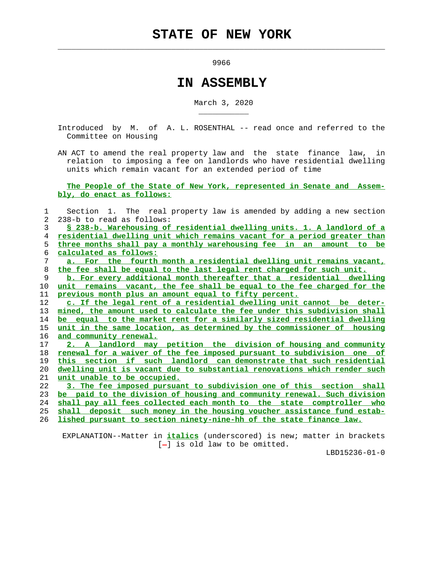$\mathcal{L}_\text{max} = \frac{1}{2} \sum_{i=1}^{n} \frac{1}{2} \sum_{i=1}^{n} \frac{1}{2} \sum_{i=1}^{n} \frac{1}{2} \sum_{i=1}^{n} \frac{1}{2} \sum_{i=1}^{n} \frac{1}{2} \sum_{i=1}^{n} \frac{1}{2} \sum_{i=1}^{n} \frac{1}{2} \sum_{i=1}^{n} \frac{1}{2} \sum_{i=1}^{n} \frac{1}{2} \sum_{i=1}^{n} \frac{1}{2} \sum_{i=1}^{n} \frac{1}{2} \sum_{i=1}^{n} \frac{1$ 

\_\_\_\_\_\_\_\_\_\_\_

9966

## **IN ASSEMBLY**

March 3, 2020

 Introduced by M. of A. L. ROSENTHAL -- read once and referred to the Committee on Housing

 AN ACT to amend the real property law and the state finance law, in relation to imposing a fee on landlords who have residential dwelling units which remain vacant for an extended period of time

 **The People of the State of New York, represented in Senate and Assem bly, do enact as follows:**

 1 Section 1. The real property law is amended by adding a new section 2 238-b to read as follows: 3 **§ 238-b. Warehousing of residential dwelling units. 1. A landlord of a** 4 **residential dwelling unit which remains vacant for a period greater than**

 5 **three months shall pay a monthly warehousing fee in an amount to be** 6 **calculated as follows:**

 7 **a. For the fourth month a residential dwelling unit remains vacant,** 8 **the fee shall be equal to the last legal rent charged for such unit.**

 9 **b. For every additional month thereafter that a residential dwelling** 10 **unit remains vacant, the fee shall be equal to the fee charged for the** 11 **previous month plus an amount equal to fifty percent.**

**c. If the legal rent of a residential dwelling unit cannot be deter- mined, the amount used to calculate the fee under this subdivision shall be equal to the market rent for a similarly sized residential dwelling unit in the same location, as determined by the commissioner of housing and community renewal.**

**2. A landlord may petition the division of housing and community renewal for a waiver of the fee imposed pursuant to subdivision one of this section if such landlord can demonstrate that such residential dwelling unit is vacant due to substantial renovations which render such unit unable to be occupied.**

**3. The fee imposed pursuant to subdivision one of this section shall be paid to the division of housing and community renewal. Such division shall pay all fees collected each month to the state comptroller who shall deposit such money in the housing voucher assistance fund estab-**

26 **lished pursuant to section ninety-nine-hh of the state finance law.**

 EXPLANATION--Matter in **italics** (underscored) is new; matter in brackets  $[-]$  is old law to be omitted.

LBD15236-01-0